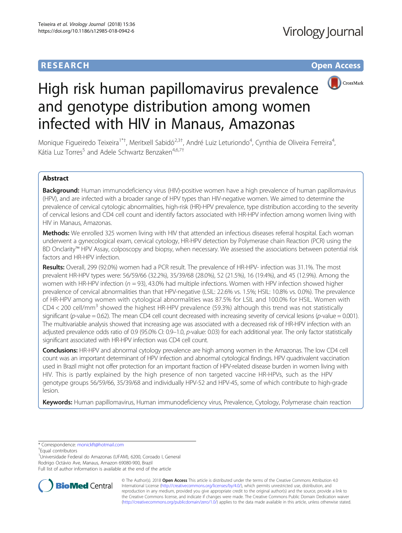# **RESEARCH RESEARCH** *CHECK <b>CHECK*



# High risk human papillomavirus prevalence and genotype distribution among women infected with HIV in Manaus, Amazonas

Monique Figueiredo Teixeira<sup>1\*†</sup>, Meritxell Sabidó<sup>2,3†</sup>, André Luiz Leturiondo<sup>4</sup>, Cynthia de Oliveira Ferreira<sup>4</sup> , Kátia Luz Torres<sup>5</sup> and Adele Schwartz Benzaken<sup>4,6,7†</sup>

# Abstract

Background: Human immunodeficiency virus (HIV)-positive women have a high prevalence of human papillomavirus (HPV), and are infected with a broader range of HPV types than HIV-negative women. We aimed to determine the prevalence of cervical cytologic abnormalities, high-risk (HR)-HPV prevalence, type distribution according to the severity of cervical lesions and CD4 cell count and identify factors associated with HR-HPV infection among women living with HIV in Manaus, Amazonas.

Methods: We enrolled 325 women living with HIV that attended an infectious diseases referral hospital. Each woman underwent a gynecological exam, cervical cytology, HR-HPV detection by Polymerase chain Reaction (PCR) using the BD Onclarity™ HPV Assay, colposcopy and biopsy, when necessary. We assessed the associations between potential risk factors and HR-HPV infection.

Results: Overall, 299 (92.0%) women had a PCR result. The prevalence of HR-HPV- infection was 31.1%. The most prevalent HR-HPV types were: 56/59/66 (32.2%), 35/39/68 (28.0%), 52 (21.5%), 16 (19.4%), and 45 (12.9%). Among the women with HR-HPV infection ( $n = 93$ ), 43.0% had multiple infections. Women with HPV infection showed higher prevalence of cervical abnormalities than that HPV-negative (LSIL: 22.6% vs. 1.5%; HSIL: 10.8% vs. 0.0%). The prevalence of HR-HPV among women with cytological abnormalities was 87.5% for LSIL and 100.0% for HSIL. Women with  $CD4 < 200$  cell/mm<sup>3</sup> showed the highest HR-HPV prevalence (59.3%) although this trend was not statistically significant (p-value = 0.62). The mean CD4 cell count decreased with increasing severity of cervical lesions (p-value = 0.001). The multivariable analysis showed that increasing age was associated with a decreased risk of HR-HPV infection with an adjusted prevalence odds ratio of 0.9 (95.0% CI: 0.9–1.0, p-value: 0.03) for each additional year. The only factor statistically significant associated with HR-HPV infection was CD4 cell count.

Conclusions: HR-HPV and abnormal cytology prevalence are high among women in the Amazonas. The low CD4 cell count was an important determinant of HPV infection and abnormal cytological findings. HPV quadrivalent vaccination used in Brazil might not offer protection for an important fraction of HPV-related disease burden in women living with HIV. This is partly explained by the high presence of non targeted vaccine HR-HPVs, such as the HPV genotype groups 56/59/66, 35/39/68 and individually HPV-52 and HPV-45, some of which contribute to high-grade lesion.

Keywords: Human papillomavirus, Human immunodeficiency virus, Prevalence, Cytology, Polymerase chain reaction

\* Correspondence: [monickft@hotmail.com](mailto:monickft@hotmail.com) †

Equal contributors

<sup>1</sup>Universidade Federal do Amazonas (UFAM), 6200, Coroado I, General Rodrigo Octávio Ave, Manaus, Amazon 69080-900, Brazil

Full list of author information is available at the end of the article



© The Author(s). 2018 Open Access This article is distributed under the terms of the Creative Commons Attribution 4.0 International License [\(http://creativecommons.org/licenses/by/4.0/](http://creativecommons.org/licenses/by/4.0/)), which permits unrestricted use, distribution, and reproduction in any medium, provided you give appropriate credit to the original author(s) and the source, provide a link to the Creative Commons license, and indicate if changes were made. The Creative Commons Public Domain Dedication waiver [\(http://creativecommons.org/publicdomain/zero/1.0/](http://creativecommons.org/publicdomain/zero/1.0/)) applies to the data made available in this article, unless otherwise stated.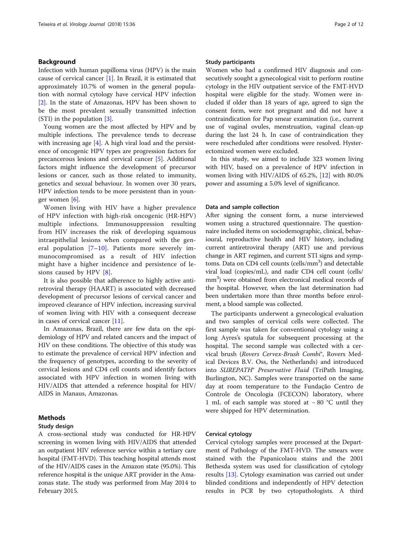# Background

Infection with human papilloma virus (HPV) is the main cause of cervical cancer [\[1](#page-9-0)]. In Brazil, it is estimated that approximately 10.7% of women in the general population with normal cytology have cervical HPV infection [[2\]](#page-9-0). In the state of Amazonas, HPV has been shown to be the most prevalent sexually transmitted infection (STI) in the population [[3\]](#page-9-0).

Young women are the most affected by HPV and by multiple infections. The prevalence tends to decrease with increasing age [[4\]](#page-9-0). A high viral load and the persistence of oncogenic HPV types are progression factors for precancerous lesions and cervical cancer [\[5](#page-9-0)]. Additional factors might influence the development of precursor lesions or cancer, such as those related to immunity, genetics and sexual behaviour. In women over 30 years, HPV infection tends to be more persistent than in younger women [[6](#page-9-0)].

Women living with HIV have a higher prevalence of HPV infection with high-risk oncogenic (HR-HPV) multiple infections. Immunosuppression resulting from HIV increases the risk of developing squamous intraepithelial lesions when compared with the general population  $[7-10]$  $[7-10]$  $[7-10]$  $[7-10]$  $[7-10]$ . Patients more severely immunocompromised as a result of HIV infection might have a higher incidence and persistence of lesions caused by HPV [[8\]](#page-9-0).

It is also possible that adherence to highly active antiretroviral therapy (HAART) is associated with decreased development of precursor lesions of cervical cancer and improved clearance of HPV infection, increasing survival of women living with HIV with a consequent decrease in cases of cervical cancer [\[11](#page-9-0)].

In Amazonas, Brazil, there are few data on the epidemiology of HPV and related cancers and the impact of HIV on these conditions. The objective of this study was to estimate the prevalence of cervical HPV infection and the frequency of genotypes, according to the severity of cervical lesions and CD4 cell counts and identify factors associated with HPV infection in women living with HIV/AIDS that attended a reference hospital for HIV/ AIDS in Manaus, Amazonas.

# Methods

# Study design

A cross-sectional study was conducted for HR-HPV screening in women living with HIV/AIDS that attended an outpatient HIV reference service within a tertiary care hospital (FMT-HVD). This teaching hospital attends most of the HIV/AIDS cases in the Amazon state (95.0%). This reference hospital is the unique ART provider in the Amazonas state. The study was performed from May 2014 to February 2015.

#### Study participants

Women who had a confirmed HIV diagnosis and consecutively sought a gynecological visit to perform routine cytology in the HIV outpatient service of the FMT-HVD hospital were eligible for the study. Women were included if older than 18 years of age, agreed to sign the consent form, were not pregnant and did not have a contraindication for Pap smear examination (i.e., current use of vaginal ovules, menstruation, vaginal clean-up during the last 24 h. In case of contraindication they were rescheduled after conditions were resolved. Hysterectomized women were excluded.

In this study, we aimed to include 323 women living with HIV, based on a prevalence of HPV infection in women living with HIV/AIDS of 65.2%, [[12\]](#page-10-0) with 80.0% power and assuming a 5.0% level of significance.

#### Data and sample collection

After signing the consent form, a nurse interviewed women using a structured questionnaire. The questionnaire included items on sociodemographic, clinical, behavioural, reproductive health and HIV history, including current antiretroviral therapy (ART) use and previous change in ART regimen, and current STI signs and symptoms. Data on CD4 cell counts (cells/mm<sup>3</sup>) and detectable viral load (copies/mL), and nadir CD4 cell count (cells/ mm<sup>3</sup>) were obtained from electronical medical records of the hospital. However, when the last determination had been undertaken more than three months before enrolment, a blood sample was collected.

The participants underwent a gynecological evaluation and two samples of cervical cells were collected. The first sample was taken for conventional cytology using a long Ayres's spatula for subsequent processing at the hospital. The second sample was collected with a cervical brush (Rovers Cervex-Brush Combi®, Rovers Medical Devices B.V. Oss, the Netherlands) and introduced into SUREPATH® Preservative Fluid (TriPath Imaging, Burlington, NC). Samples were transported on the same day at room temperature to the Fundação Centro de Controle de Oncologia (FCECON) laboratory, where 1 mL of each sample was stored at − 80 °C until they were shipped for HPV determination.

# Cervical cytology

Cervical cytology samples were processed at the Department of Pathology of the FMT-HVD. The smears were stained with the Papanicolaou stains and the 2001 Bethesda system was used for classification of cytology results [[13\]](#page-10-0). Cytology examination was carried out under blinded conditions and independently of HPV detection results in PCR by two cytopathologists. A third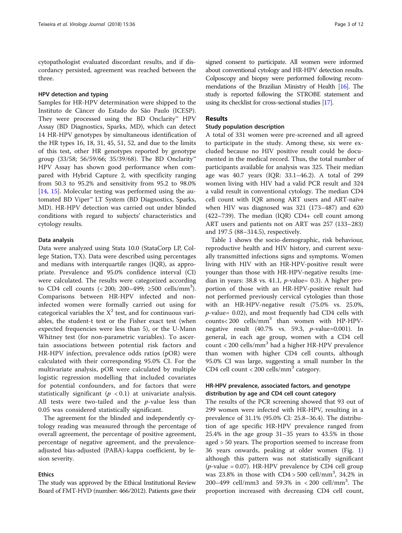cytopathologist evaluated discordant results, and if discordancy persisted, agreement was reached between the three.

# HPV detection and typing

Samples for HR-HPV determination were shipped to the Instituto de Câncer do Estado do São Paulo (ICESP). They were processed using the BD Onclarity™  $HPV$ Assay (BD Diagnostics, Sparks, MD), which can detect 14 HR-HPV genotypes by simultaneous identification of the HR types 16, 18, 31, 45, 51, 52, and due to the limits of this test, other HR genotypes reported by genotype group (33/58; 56/59/66; 35/39/68). The BD Onclarity™ HPV Assay has shown good performance when compared with Hybrid Capture 2, with specificity ranging from 50.3 to 95.2% and sensitivity from 95.2 to 98.0% [[14,](#page-10-0) [15](#page-10-0)]. Molecular testing was performed using the automated BD Viper™ LT System (BD Diagnostics, Sparks, MD). HR-HPV detection was carried out under blinded conditions with regard to subjects' characteristics and cytology results.

# Data analysis

Data were analyzed using Stata 10.0 (StataCorp LP, College Station, TX). Data were described using percentages and medians with interquartile ranges (IQR), as appropriate. Prevalence and 95.0% confidence interval (CI) were calculated. The results were categorized according to CD4 cell counts (< 200; 200−499; ≥500 cells/mm<sup>3</sup>). Comparisons between HR-HPV infected and noninfected women were formally carried out using for categorical variables the  $X^2$  test, and for continuous variables, the student-t test or the Fisher exact test (when expected frequencies were less than 5), or the U-Mann Whitney test (for non-parametric variables). To ascertain associations between potential risk factors and HR-HPV infection, prevalence odds ratios (pOR) were calculated with their corresponding 95.0% CI. For the multivariate analysis, pOR were calculated by multiple logistic regression modelling that included covariates for potential confounders, and for factors that were statistically significant ( $p < 0.1$ ) at univariate analysis. All tests were two-tailed and the  $p$ -value less than 0.05 was considered statistically significant.

The agreement for the blinded and independently cytology reading was measured through the percentage of overall agreement, the percentage of positive agreement, percentage of negative agreement, and the prevalenceadjusted bias-adjusted (PABA)-kappa coefficient, by lesion severity.

# Ethics

The study was approved by the Ethical Institutional Review Board of FMT-HVD (number: 466/2012). Patients gave their signed consent to participate. All women were informed about conventional cytology and HR-HPV detection results. Colposcopy and biopsy were performed following recommendations of the Brazilian Ministry of Health [\[16](#page-10-0)]. The study is reported following the STROBE statement and using its checklist for cross-sectional studies [\[17\]](#page-10-0).

# Results

# Study population description

A total of 331 women were pre-screened and all agreed to participate in the study. Among these, six were excluded because no HIV positive result could be documented in the medical record. Thus, the total number of participants available for analysis was 325. Their median age was 40.7 years (IQR: 33.1–46.2). A total of 299 women living with HIV had a valid PCR result and 324 a valid result in conventional cytology. The median CD4 cell count with IQR among ART users and ART-naïve when HIV was diagnosed was 321 (173–487) and 620 (422–739). The median (IQR) CD4+ cell count among ART users and patients not on ART was 257 (133–283) and 197.5 (88–314.5), respectively.

Table [1](#page-3-0) shows the socio-demographic, risk behaviour, reproductive health and HIV history, and current sexually transmitted infections signs and symptoms. Women living with HIV with an HR-HPV-positive result were younger than those with HR-HPV-negative results (median in years:  $38.8$  vs.  $41.1$ ,  $p$ -value= 0.3). A higher proportion of those with an HR-HPV-positive result had not performed previously cervical cytologies than those with an HR-HPV-negative result (75.0% vs. 25.0%,  $p$ -value= 0.02), and most frequently had CD4 cells with counts< 200 cells/mm<sup>3</sup> than women with HP-HPVnegative result  $(40.7\% \text{ vs. } 59.3, \text{ p-value}=0.001)$ . In general, in each age group, women with a CD4 cell count < 200 cells/ $mm<sup>3</sup>$  had a higher HR-HPV prevalence than women with higher CD4 cell counts, although 95.0% CI was large, suggesting a small number In the CD4 cell count  $< 200$  cells/mm<sup>3</sup> category.

# HR-HPV prevalence, associated factors, and genotype distribution by age and CD4 cell count category

The results of the PCR screening showed that 93 out of 299 women were infected with HR-HPV, resulting in a prevalence of 31.1% (95.0% CI: 25.8–36.4). The distribution of age specific HR-HPV prevalence ranged from 25.4% in the age group 31–35 years to 43.5% in those aged > 50 years. The proportion seemed to increase from 36 years onwards, peaking at older women (Fig. [1](#page-5-0)) although this pattern was not statistically significant ( $p$ -value = 0.07). HR-HPV prevalence by CD4 cell group was 23.8% in those with  $CD4 > 500$  cell/mm<sup>3</sup>, 34.2% in 200–499 cell/mm3 and 59.3% in < 200 cell/mm<sup>3</sup> . The proportion increased with decreasing CD4 cell count,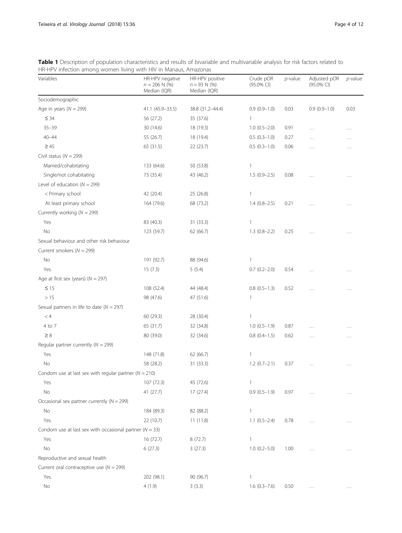| Variables                                                   | HR-HPV negative<br>$n = 206$ N (%)<br>Median (IQR) | HR-HPV positive<br>$n = 93$ N (%)<br>Median (IQR) | Crude pOR<br>$(95.0\% \text{ Cl})$ | $p$ -value | Adjusted pOR<br>$(95.0\%$ CI) | $p$ -value |
|-------------------------------------------------------------|----------------------------------------------------|---------------------------------------------------|------------------------------------|------------|-------------------------------|------------|
| Sociodemographic                                            |                                                    |                                                   |                                    |            |                               |            |
| Age in years ( $N = 299$ )                                  | 41.1 (45.9-33.5)                                   | 38.8 (31.2-44.4)                                  | $0.9(0.9-1.0)$                     | 0.03       | $0.9(0.9-1.0)$                | 0.03       |
| $\leq 34$                                                   | 56 (27.2)                                          | 35 (37.6)                                         | $\mathbf{1}$                       |            |                               |            |
| $35 - 39$                                                   | 30 (14.6)                                          | 18 (19.3)                                         | $1.0(0.5-2.0)$                     | 0.91       | $\cdots$                      | $\cdots$   |
| $40 - 44$                                                   | 55 (26.7)                                          | 18 (19.4)                                         | $0.5(0.3-1.0)$                     | 0.27       | $\cdots$                      | $\cdots$   |
| $\geq 45$                                                   | 65 (31.5)                                          | 22 (23.7)                                         | $0.5(0.3-1.0)$                     | 0.06       | .                             | $\ldots$   |
| Civil status ( $N = 299$ )                                  |                                                    |                                                   |                                    |            |                               |            |
| Married/cohabitating                                        | 133 (64.6)                                         | 50 (53.8)                                         | 1                                  |            |                               |            |
| Single/not cohabitating                                     | 73 (35.4)                                          | 43 (46.2)                                         | $1.5(0.9-2.5)$                     | 0.08       | $\cdots$                      | $\ldots$   |
| Level of education ( $N = 299$ )                            |                                                    |                                                   |                                    |            |                               |            |
| < Primary school                                            | 42 (20.4)                                          | 25 (26.8)                                         | $\mathbf{1}$                       |            |                               |            |
| At least primary school                                     | 164 (79.6)                                         | 68 (73.2)                                         | $1.4(0.8-2.5)$                     | 0.21       |                               | .          |
| Currently working ( $N = 299$ )                             |                                                    |                                                   |                                    |            |                               |            |
| Yes                                                         | 83 (40.3)                                          | 31(33.3)                                          | 1                                  |            |                               |            |
| No                                                          | 123 (59.7)                                         | 62 (66.7)                                         | $1.3(0.8-2.2)$                     | 0.25       | .                             | $\cdots$   |
| Sexual behaviour and other risk behaviour                   |                                                    |                                                   |                                    |            |                               |            |
| Current smokers ( $N = 299$ )                               |                                                    |                                                   |                                    |            |                               |            |
| No                                                          | 191 (92.7)                                         | 88 (94.6)                                         | $\mathbf{1}$                       |            |                               |            |
| Yes                                                         | 15(7.3)                                            | 5(5.4)                                            | $0.7(0.2 - 2.0)$                   | 0.54       | $\cdots$                      |            |
| Age at first sex (years) ( $N = 297$ )                      |                                                    |                                                   |                                    |            |                               |            |
| $\leq 15$                                                   | 108 (52.4)                                         | 44 (48.4)                                         | $0.8$ $(0.5-1.3)$                  | 0.52       | .                             | $\ldots$   |
| >15                                                         | 98 (47.6)                                          | 47 (51.6)                                         | 1                                  |            |                               |            |
| Sexual partners in life to date ( $N = 297$ )               |                                                    |                                                   |                                    |            |                               |            |
| < 4                                                         | 60 (29.3)                                          | 28 (30.4)                                         | 1                                  |            |                               |            |
| 4 to 7                                                      | 65 (31.7)                                          | 32 (34.8)                                         | $1.0(0.5-1.9)$                     | 0.87       | $\cdots$                      | .          |
| $\geq 8$                                                    | 80 (39.0)                                          | 32 (34.6)                                         | $0.8$ $(0.4-1.5)$                  | 0.62       | $\cdots$                      | $\cdots$   |
| Regular partner currently ( $N = 299$ )                     |                                                    |                                                   |                                    |            |                               |            |
| Yes                                                         | 148 (71.8)                                         | 62(66.7)                                          | $\mathbf{1}$                       |            |                               |            |
| No                                                          | 58 (28.2)                                          | 31 (33.3)                                         | $1.2(0.7-2.1)$                     | 0.37       | $\cdots$                      | .          |
| Condom use at last sex with regular partner ( $N = 210$ )   |                                                    |                                                   |                                    |            |                               |            |
| Yes                                                         | 107 (72.3)                                         | 45 (72.6)                                         | $\mathbf{1}$                       |            |                               |            |
| No                                                          | 41 (27.7)                                          | 17 (27.4)                                         | $0.9(0.5-1.9)$                     | 0.97       | $\cdots$                      | .          |
| Occasional sex partner currently ( $N = 299$ )              |                                                    |                                                   |                                    |            |                               |            |
| No                                                          | 184 (89.3)                                         | 82 (88.2)                                         | 1                                  |            |                               |            |
| Yes                                                         | 22 (10.7)                                          | 11(11.8)                                          | $1.1(0.5-2.4)$                     | 0.78       | $\cdots$                      | $\cdot$    |
| Condom use at last sex with occasional partner ( $N = 33$ ) |                                                    |                                                   |                                    |            |                               |            |
| Yes                                                         | 16(72.7)                                           | 8(72.7)                                           | $\mathbf{1}$                       |            |                               |            |
| No                                                          | 6(27.3)                                            | 3(27.3)                                           | $1.0(0.2 - 5.0)$                   | 1.00       | $\cdots$                      | $\cdots$   |
| Reproductive and sexual health                              |                                                    |                                                   |                                    |            |                               |            |
| Current oral contraceptive use ( $N = 299$ )                |                                                    |                                                   |                                    |            |                               |            |
| Yes                                                         | 202 (98.1)                                         | 90 (96.7)                                         | $\mathbf{1}$                       |            |                               |            |
| No                                                          | 4(1.9)                                             | 3(3.3)                                            | $1.6(0.3 - 7.6)$                   | 0.50       | $\ldots$                      | $\cdots$   |

<span id="page-3-0"></span>

|  | Table 1 Description of population characteristics and results of bivariable and multivariable analysis for risk factors related to |  |  |  |  |
|--|------------------------------------------------------------------------------------------------------------------------------------|--|--|--|--|
|  | HR-HPV infection among women living with HIV in Manaus, Amazonas                                                                   |  |  |  |  |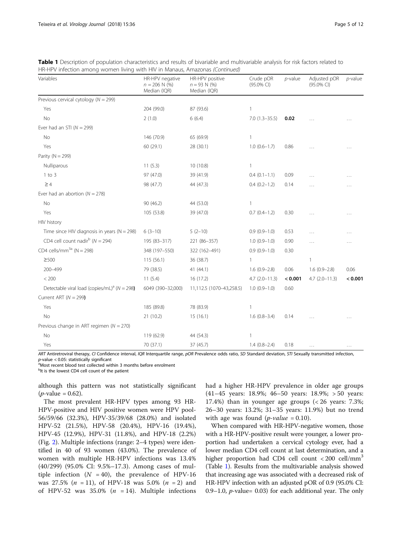| Variables                                                    | HR-HPV negative<br>$n = 206$ N (%)<br>Median (IQR) | HR-HPV positive<br>$n = 93$ N (%)<br>Median (IQR) | Crude pOR<br>$(95.0\%$ CI) | $p$ -value | Adjusted pOR<br>(95.0% CI) | $p$ -value |
|--------------------------------------------------------------|----------------------------------------------------|---------------------------------------------------|----------------------------|------------|----------------------------|------------|
| Previous cervical cytology ( $N = 299$ )                     |                                                    |                                                   |                            |            |                            |            |
| Yes                                                          | 204 (99.0)                                         | 87 (93.6)                                         | 1                          |            |                            |            |
| No                                                           | 2(1.0)                                             | 6(6.4)                                            | $7.0(1.3-35.5)$            | 0.02       | $\cdots$                   | .          |
| Ever had an STI ( $N = 299$ )                                |                                                    |                                                   |                            |            |                            |            |
| No                                                           | 146 (70.9)                                         | 65 (69.9)                                         | 1                          |            |                            |            |
| Yes                                                          | 60 (29.1)                                          | 28 (30.1)                                         | $1.0(0.6-1.7)$             | 0.86       | $\cdots$                   | $\cdots$   |
| Parity ( $N = 299$ )                                         |                                                    |                                                   |                            |            |                            |            |
| Nulliparous                                                  | 11(5.3)                                            | 10(10.8)                                          | 1                          |            |                            |            |
| $1$ to $3$                                                   | 97 (47.0)                                          | 39 (41.9)                                         | $0.4(0.1-1.1)$             | 0.09       | $\cdots$                   | $\cdots$   |
| $\geq 4$                                                     | 98 (47.7)                                          | 44 (47.3)                                         | $0.4(0.2-1.2)$             | 0.14       | .                          | $\cdots$   |
| Ever had an abortion ( $N = 278$ )                           |                                                    |                                                   |                            |            |                            |            |
| No                                                           | 90 (46.2)                                          | 44 (53.0)                                         | 1                          |            |                            |            |
| Yes                                                          | 105 (53.8)                                         | 39 (47.0)                                         | $0.7(0.4-1.2)$             | 0.30       | $\cdots$                   | $\cdots$   |
| HIV history                                                  |                                                    |                                                   |                            |            |                            |            |
| Time since HIV diagnosis in years ( $N = 298$ )              | $6(3-10)$                                          | $5(2-10)$                                         | $0.9(0.9-1.0)$             | 0.53       | $\cdots$                   | .          |
| CD4 cell count nadir <sup>b</sup> ( $N = 294$ )              | 195 (83-317)                                       | 221 (86-357)                                      | $1.0(0.9-1.0)$             | 0.90       | .                          | $\cdots$   |
| CD4 cells/mm <sup>3a</sup> (N = 298)                         | 348 (197-550)                                      | 322 (162-491)                                     | $0.9(0.9-1.0)$             | 0.30       |                            |            |
| $\geq$ 500                                                   | 115(56.1)                                          | 36 (38.7)                                         | 1                          |            | 1                          |            |
| 200-499                                                      | 79 (38.5)                                          | 41 (44.1)                                         | $1.6(0.9-2.8)$             | 0.06       | $1.6(0.9-2.8)$             | 0.06       |
| < 200                                                        | 11(5.4)                                            | 16 (17.2)                                         | $4.7(2.0 - 11.3)$          | < 0.001    | $4.7(2.0 - 11.3)$          | < 0.001    |
| Detectable viral load (copies/mL) <sup>a</sup> ( $N = 298$ ) | 6049 (390-32,000)                                  | 11,112.5 (1070-43,258.5)                          | $1.0(0.9-1.0)$             | 0.60       |                            |            |
| Current ART ( $N = 299$ )                                    |                                                    |                                                   |                            |            |                            |            |
| Yes                                                          | 185 (89.8)                                         | 78 (83.9)                                         | 1                          |            |                            |            |
| No                                                           | 21 (10.2)                                          | 15 (16.1)                                         | $1.6(0.8-3.4)$             | 0.14       | $\cdots$                   | .          |
| Previous change in ART regimen ( $N = 270$ )                 |                                                    |                                                   |                            |            |                            |            |
| No                                                           | 119 (62.9)                                         | 44 (54.3)                                         | 1                          |            |                            |            |

| Table 1 Description of population characteristics and results of bivariable and multivariable analysis for risk factors related to |  |
|------------------------------------------------------------------------------------------------------------------------------------|--|
| HR-HPV infection among women living with HIV in Manaus, Amazonas (Continued)                                                       |  |

Yes 70 (37.1) 37 (45.7) 1.4 (0.8–2.4) 0.18 … … ART Antiretroviral therapy, CI Confidence interval, IQR Interquartile range, pOR Prevalence odds ratio, SD Standard deviation, STI Sexually transmitted infection,  $p$ -value < 0.05: statistically significant

<sup>a</sup>Most recent blood test collected within 3 months before enrolment

<sup>b</sup>lt is the lowest CD4 cell count of the patient

although this pattern was not statistically significant  $(p$ -value = 0.62).

The most prevalent HR-HPV types among 93 HR-HPV-positive and HIV positive women were HPV pool-56/59/66 (32.3%), HPV-35/39/68 (28.0%) and isolated HPV-52 (21.5%), HPV-58 (20.4%), HPV-16 (19.4%), HPV-45 (12.9%), HPV-31 (11.8%), and HPV-18 (2.2%) (Fig. [2](#page-5-0)). Multiple infections (range: 2–4 types) were identified in 40 of 93 women (43.0%). The prevalence of women with multiple HR-HPV infections was 13.4% (40/299) (95.0% CI: 9.5%–17.3). Among cases of multiple infection  $(N = 40)$ , the prevalence of HPV-16 was 27.5% ( $n = 11$ ), of HPV-18 was 5.0% ( $n = 2$ ) and of HPV-52 was 35.0% ( $n = 14$ ). Multiple infections had a higher HR-HPV prevalence in older age groups (41–45 years: 18.9%; 46–50 years: 18.9%; > 50 years: 17.4%) than in younger age groups (< 26 years: 7.3%; 26–30 years: 13.2%; 31–35 years: 11.9%) but no trend with age was found  $(p-value = 0.10)$ .

When compared with HR-HPV-negative women, those with a HR-HPV-positive result were younger, a lower proportion had undertaken a cervical cytology ever, had a lower median CD4 cell count at last determination, and a higher proportion had CD4 cell count  $<$  200 cell/mm<sup>3</sup> (Table [1](#page-3-0)). Results from the multivariable analysis showed that increasing age was associated with a decreased risk of HR-HPV infection with an adjusted pOR of 0.9 (95.0% CI: 0.9–1.0,  $p$ -value= 0.03) for each additional year. The only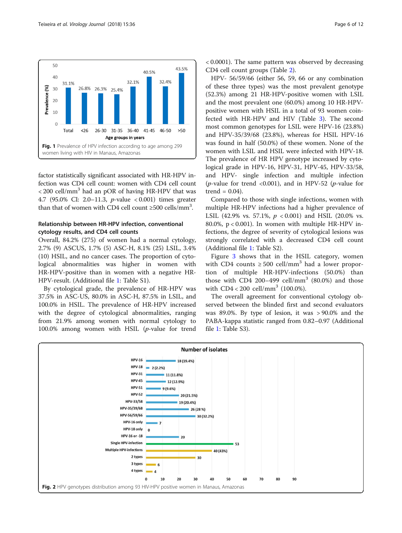<span id="page-5-0"></span>



factor statistically significant associated with HR-HPV infection was CD4 cell count: women with CD4 cell count  $<$  200 cell/mm<sup>3</sup> had an pOR of having HR-HPV that was 4.7 (95.0% CI: 2.0–11.3, p-value < 0.001) times greater than that of women with CD4 cell count  $\geq$ 500 cells/mm<sup>3</sup>.

# Relationship between HR-HPV infection, conventional cytology results, and CD4 cell counts

Overall, 84.2% (275) of women had a normal cytology, 2.7% (9) ASCUS, 1.7% (5) ASC-H, 8.1% (25) LSIL, 3.4% (10) HSIL, and no cancer cases. The proportion of cytological abnormalities was higher in women with HR-HPV-positive than in women with a negative HR-HPV-result. (Additional file [1](#page-9-0): Table S1).

By cytological grade, the prevalence of HR-HPV was 37.5% in ASC-US, 80.0% in ASC-H, 87.5% in LSIL, and 100.0% in HSIL. The prevalence of HR-HPV increased with the degree of cytological abnormalities, ranging from 21.9% among women with normal cytology to 100.0% among women with HSIL (p-value for trend

< 0.0001). The same pattern was observed by decreasing CD4 cell count groups (Table [2\)](#page-6-0).

HPV- 56/59/66 (either 56, 59, 66 or any combination of these three types) was the most prevalent genotype (52.3%) among 21 HR-HPV-positive women with LSIL and the most prevalent one (60.0%) among 10 HR-HPVpositive women with HSIL in a total of 93 women coinfected with HR-HPV and HIV (Table [3](#page-7-0)). The second most common genotypes for LSIL were HPV-16 (23.8%) and HPV-35/39/68 (23.8%), whereas for HSIL HPV-16 was found in half (50.0%) of these women. None of the women with LSIL and HSIL were infected with HPV-18. The prevalence of HR HPV genotype increased by cytological grade in HPV-16, HPV-31, HPV-45, HPV-33/58, and HPV- single infection and multiple infection ( $p$ -value for trend <0.001), and in HPV-52 ( $p$ -value for trend  $= 0.04$ ).

Compared to those with single infections, women with multiple HR-HPV infections had a higher prevalence of LSIL (42.9% vs. 57.1%,  $p < 0.001$ ) and HSIL (20.0% vs. 80.0%,  $p < 0.001$ ). In women with multiple HR-HPV infections, the degree of severity of cytological lesions was strongly correlated with a decreased CD4 cell count (Additional file [1](#page-9-0): Table S2).

Figure [3](#page-6-0) shows that in the HSIL category, women with CD4 counts  $\geq$  500 cell/mm<sup>3</sup> had a lower proportion of multiple HR-HPV-infections (50.0%) than those with CD4 200–499 cell/mm<sup>3</sup> (80.0%) and those with  $CD4 < 200$  cell/mm<sup>3</sup> (100.0%).

The overall agreement for conventional cytology observed between the blinded first and second evaluators was 89.0%. By type of lesion, it was > 90.0% and the PABA-kappa statistic ranged from 0.82–0.97 (Additional file [1:](#page-9-0) Table S3).

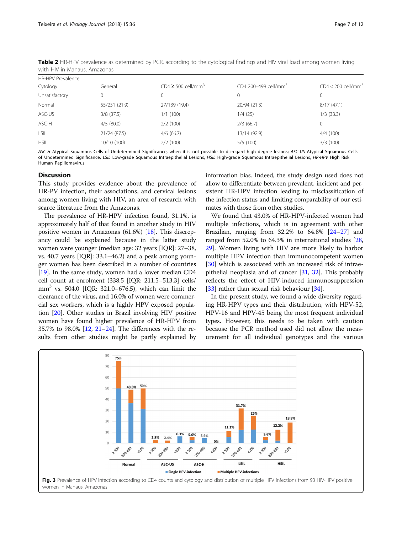| <b>HR-HPV Prevalence</b> |               |                                    |                                  |                                  |  |  |  |
|--------------------------|---------------|------------------------------------|----------------------------------|----------------------------------|--|--|--|
| Cytology                 | General       | $CD4 \ge 500$ cell/mm <sup>3</sup> | CD4 200-499 cell/mm <sup>3</sup> | $CD4 < 200$ cell/mm <sup>3</sup> |  |  |  |
| Unsatisfactory           | 0             | 0                                  |                                  | 0                                |  |  |  |
| Normal                   | 55/251 (21.9) | 27/139 (19.4)                      | 20/94 (21.3)                     | 8/17(47.1)                       |  |  |  |
| ASC-US                   | $3/8$ (37.5)  | 1/1(100)                           | 1/4(25)                          | $1/3$ (33.3)                     |  |  |  |
| ASC-H                    | 4/5(80.0)     | 2/2(100)                           | 2/3(66.7)                        | $\mathbf 0$                      |  |  |  |
| LSIL                     | 21/24 (87.5)  | 4/6(66.7)                          | 13/14 (92.9)                     | 4/4(100)                         |  |  |  |
| <b>HSIL</b>              | 10/10 (100)   | 2/2(100)                           | 5/5(100)                         | 3/3(100)                         |  |  |  |

<span id="page-6-0"></span>Table 2 HR-HPV prevalence as determined by PCR, according to the cytological findings and HIV viral load among women living with HIV in Manaus, Amazonas

ASC-H Atypical Squamous Cells of Undetermined Significance, when it is not possible to disregard high degree lesions; ASC-US Atypical Squamous Cells of Undetermined Significance, LSIL Low-grade Squamous Intraepithelial Lesions, HSIL High-grade Squamous Intraepithelial Lesions, HR-HPV High Risk Human Papillomavirus

# **Discussion**

This study provides evidence about the prevalence of HR-PV infection, their associations, and cervical lesions among women living with HIV, an area of research with scarce literature from the Amazonas.

The prevalence of HR-HPV infection found, 31.1%, is approximately half of that found in another study in HIV positive women in Amazonas (61.6%) [\[18\]](#page-10-0). This discrepancy could be explained because in the latter study women were younger (median age: 32 years [IQR]: 27–38, vs. 40.7 years [IQR]: 33.1–46.2) and a peak among younger women has been described in a number of countries [[19](#page-10-0)]. In the same study, women had a lower median CD4 cell count at enrolment (338.5 [IQR: 211.5–513.3] cells/ mm<sup>3</sup> vs. 504.0 [IQR: 321.0–676.5], which can limit the clearance of the virus, and 16.0% of women were commercial sex workers, which is a highly HPV exposed population [[20\]](#page-10-0). Other studies in Brazil involving HIV positive women have found higher prevalence of HR-HPV from 35.7% to 98.0% [[12](#page-10-0), [21](#page-10-0)–[24](#page-10-0)]. The differences with the results from other studies might be partly explained by information bias. Indeed, the study design used does not allow to differentiate between prevalent, incident and persistent HR-HPV infection leading to misclassification of the infection status and limiting comparability of our estimates with those from other studies.

We found that 43.0% of HR-HPV-infected women had multiple infections, which is in agreement with other Brazilian, ranging from 32.2% to 64.8% [[24](#page-10-0)–[27](#page-10-0)] and ranged from 52.0% to 64.3% in international studies [[28](#page-10-0), [29\]](#page-10-0). Women living with HIV are more likely to harbor multiple HPV infection than immunocompetent women [[30\]](#page-10-0) which is associated with an increased risk of intraepithelial neoplasia and of cancer [[31,](#page-10-0) [32](#page-10-0)]. This probably reflects the effect of HIV-induced immunosuppression [[33\]](#page-10-0) rather than sexual risk behaviour [\[34\]](#page-10-0).

In the present study, we found a wide diversity regarding HR-HPV types and their distribution, with HPV-52, HPV-16 and HPV-45 being the most frequent individual types. However, this needs to be taken with caution because the PCR method used did not allow the measurement for all individual genotypes and the various

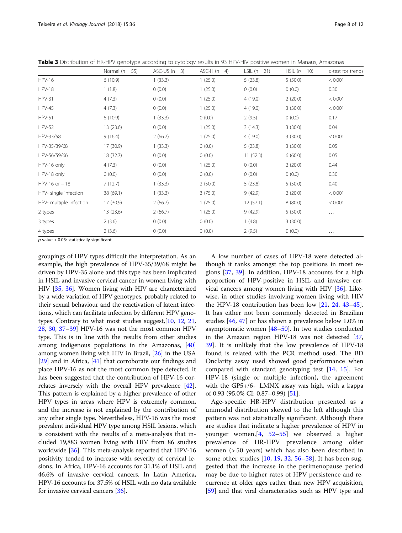<span id="page-7-0"></span>Table 3 Distribution of HR-HPV genotype according to cytology results in 93 HPV-HIV positive women in Manaus, Amazonas

|                         | Normal ( $n = 55$ ) | ASC-US $(n = 3)$ | ASC-H $(n=4)$ | LSIL $(n = 21)$ | HSIL $(n = 10)$ | p-test for trends |
|-------------------------|---------------------|------------------|---------------|-----------------|-----------------|-------------------|
| <b>HPV-16</b>           | 6(10.9)             | 1(33.3)          | 1(25.0)       | 5(23.8)         | 5(50.0)         | < 0.001           |
| <b>HPV-18</b>           | 1(1.8)              | 0(0.0)           | 1(25.0)       | 0(0.0)          | 0(0.0)          | 0.30              |
| <b>HPV-31</b>           | 4(7.3)              | 0(0.0)           | 1(25.0)       | 4(19.0)         | 2(20.0)         | < 0.001           |
| $HPV-45$                | 4(7.3)              | 0(0.0)           | 1(25.0)       | 4(19.0)         | 3(30.0)         | < 0.001           |
| <b>HPV-51</b>           | 6(10.9)             | 1(33.3)          | 0(0.0)        | 2(9.5)          | 0(0.0)          | 0.17              |
| <b>HPV-52</b>           | 13 (23.6)           | 0(0.0)           | 1(25.0)       | 3(14.3)         | 3(30.0)         | 0.04              |
| HPV-33/58               | 9(16.4)             | 2(66.7)          | 1(25.0)       | 4(19.0)         | 3(30.0)         | < 0.001           |
| HPV-35/39/68            | 17 (30.9)           | 1(33.3)          | 0(0.0)        | 5(23.8)         | 3(30.0)         | 0.05              |
| HPV-56/59/66            | 18 (32.7)           | 0(0.0)           | 0(0.0)        | 11(52.3)        | 6(60.0)         | 0.05              |
| HPV-16 only             | 4(7.3)              | 0(0.0)           | 1(25.0)       | 0(0.0)          | 2(20.0)         | 0.44              |
| HPV-18 only             | (0.0)               | 0(0.0)           | 0(0.0)        | 0(0.0)          | 0(0.0)          | 0.30              |
| $HPV-16$ or $-18$       | 7(12.7)             | 1(33.3)          | 2(50.0)       | 5(23.8)         | 5(50.0)         | 0.40              |
| HPV- single infection   | 38 (69.1)           | 1(33.3)          | 3(75.0)       | 9(42.9)         | 2(20.0)         | < 0.001           |
| HPV- multiple infection | 17 (30.9)           | 2(66.7)          | 1(25.0)       | 12(57.1)        | 8(80.0)         | < 0.001           |
| 2 types                 | 13 (23.6)           | 2(66.7)          | 1(25.0)       | 9(42.9)         | 5(50.0)         | $\cdots$          |
| 3 types                 | 2(3.6)              | 0(0.0)           | 0(0.0)        | 1(4.8)          | 3(30.0)         | $\cdots$          |
| 4 types                 | 2(3.6)              | 0(0.0)           | (0.0)         | 2(9.5)          | 0(0.0)          | $\cdots$          |

p-value < 0.05: statistically significant

groupings of HPV types difficult the interpretation. As an example, the high prevalence of HPV-35/39/68 might be driven by HPV-35 alone and this type has been implicated in HSIL and invasive cervical cancer in women living with HIV [\[35,](#page-10-0) [36\]](#page-10-0). Women living with HIV are characterized by a wide variation of HPV genotypes, probably related to their sexual behaviour and the reactivation of latent infections, which can facilitate infection by different HPV genotypes. Contrary to what most studies suggest,[[10](#page-9-0), [12,](#page-10-0) [21](#page-10-0), [28](#page-10-0), [30,](#page-10-0) [37](#page-10-0)–[39\]](#page-10-0) HPV-16 was not the most common HPV type. This is in line with the results from other studies among indigenous populations in the Amazonas, [[40](#page-10-0)] among women living with HIV in Brazil, [[26](#page-10-0)] in the USA [[29](#page-10-0)] and in Africa, [\[41\]](#page-10-0) that corroborate our findings and place HPV-16 as not the most common type detected. It has been suggested that the contribution of HPV-16 correlates inversely with the overall HPV prevalence [[42](#page-10-0)]. This pattern is explained by a higher prevalence of other HPV types in areas where HPV is extremely common, and the increase is not explained by the contribution of any other single type. Nevertheless, HPV-16 was the most prevalent individual HPV type among HSIL lesions, which is consistent with the results of a meta-analysis that included 19,883 women living with HIV from 86 studies worldwide [[36](#page-10-0)]. This meta-analysis reported that HPV-16 positivity tended to increase with severity of cervical lesions. In Africa, HPV-16 accounts for 31.1% of HSIL and 46.6% of invasive cervical cancers. In Latin America, HPV-16 accounts for 37.5% of HSIL with no data available for invasive cervical cancers [[36](#page-10-0)].

A low number of cases of HPV-18 were detected although it ranks amongst the top positions in most regions [\[37](#page-10-0), [39\]](#page-10-0). In addition, HPV-18 accounts for a high proportion of HPV-positive in HSIL and invasive cervical cancers among women living with HIV [[36\]](#page-10-0). Likewise, in other studies involving women living with HIV the HPV-18 contribution has been low [[21,](#page-10-0) [24,](#page-10-0) [43](#page-10-0)–[45](#page-10-0)]. It has either not been commonly detected in Brazilian studies [\[46,](#page-10-0) [47\]](#page-11-0) or has shown a prevalence below 1.0% in asymptomatic women [[48](#page-11-0)–[50\]](#page-11-0). In two studies conducted in the Amazon region HPV-18 was not detected [[37](#page-10-0), [39\]](#page-10-0). It is unlikely that the low prevalence of HPV-18 found is related with the PCR method used. The BD Onclarity assay used showed good performance when compared with standard genotyping test [\[14](#page-10-0), [15](#page-10-0)]. For HPV-18 (single or multiple infection), the agreement with the GP5+/6+ LMNX assay was high, with a kappa of 0.93 (95.0% CI: 0.87–0.99) [\[51](#page-11-0)].

Age-specific HR-HPV distribution presented as a unimodal distribution skewed to the left although this pattern was not statistically significant. Although there are studies that indicate a higher prevalence of HPV in younger women,[[4,](#page-9-0) [52](#page-11-0)–[55](#page-11-0)] we observed a higher prevalence of HR-HPV prevalence among older women (> 50 years) which has also been described in some other studies [[10,](#page-9-0) [19,](#page-10-0) [32](#page-10-0), [56](#page-11-0)–[58\]](#page-11-0). It has been suggested that the increase in the perimenopause period may be due to higher rates of HPV persistence and recurrence at older ages rather than new HPV acquisition, [[59](#page-11-0)] and that viral characteristics such as HPV type and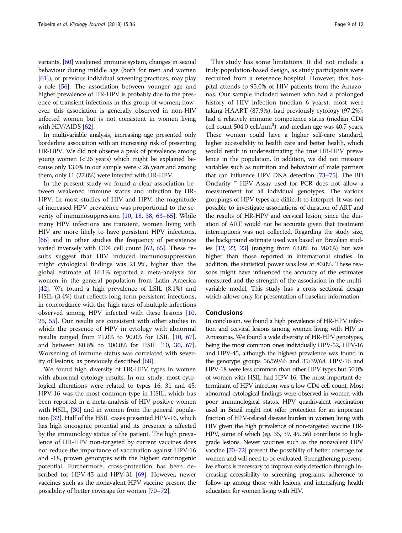variants, [[60\]](#page-11-0) weakened immune system, changes in sexual behaviour during middle age (both for men and women [[61](#page-11-0)]), or previous individual screening practices, may play a role [\[56\]](#page-11-0). The association between younger age and higher prevalence of HR-HPV is probably due to the presence of transient infections in this group of women; however, this association is generally observed in non-HIV infected women but is not consistent in women living with HIV/AIDS [\[62](#page-11-0)].

In multivariable analysis, increasing age presented only borderline association with an increasing risk of presenting HR-HPV. We did not observe a peak of prevalence among young women (< 26 years) which might be explained because only 13.0% in our sample were < 26 years and among them, only 11 (27.0%) were infected with HR-HPV.

In the present study we found a clear association between weakened immune status and infection by HR-HPV. In most studies of HIV and HPV, the magnitude of increased HPV prevalence was proportional to the severity of immunosuppression [\[10](#page-9-0), [18,](#page-10-0) [38,](#page-10-0) [63](#page-11-0)–[65\]](#page-11-0). While many HPV infections are transient, women living with HIV are more likely to have persistent HPV infections, [[66\]](#page-11-0) and in other studies the frequency of persistence varied inversely with CD4 cell count  $[62, 65]$  $[62, 65]$  $[62, 65]$ . These results suggest that HIV induced immunosuppression might cytological findings was 21.9%, higher than the global estimate of 16.1% reported a meta-analysis for women in the general population from Latin America [[42\]](#page-10-0). We found a high prevalence of LSIL (8.1%) and HSIL (3.4%) that reflects long-term persistent infections, in concordance with the high rates of multiple infections observed among HPV infected with these lesions [[10](#page-9-0), [25,](#page-10-0) [55](#page-11-0)]. Our results are consistent with other studies in which the presence of HPV in cytology with abnormal results ranged from 71.0% to 90.0% for LSIL [[10,](#page-9-0) [67](#page-11-0)], and between 80.6% to 100.0% for HSIL [[10](#page-9-0), [30,](#page-10-0) [67](#page-11-0)]. Worsening of immune status was correlated with severity of lesions, as previously described [\[68](#page-11-0)].

We found high diversity of HR-HPV types in women with abnormal cytology results. In our study, most cytological alterations were related to types 16, 31 and 45. HPV-16 was the most common type in HSIL, which has been reported in a meta-analysis of HIV positive women with HSIL, [\[30\]](#page-10-0) and in women from the general population [\[32\]](#page-10-0). Half of the HSIL cases presented HPV-16, which has high oncogenic potential and its presence is affected by the immunology status of the patient. The high prevalence of HR-HPV non-targeted by current vaccines does not reduce the importance of vaccination against HPV-16 and -18, proven genotypes with the highest carcinogenic potential. Furthermore, cross-protection has been described for HPV-45 and HPV-31 [\[69\]](#page-11-0). However, newer vaccines such as the nonavalent HPV vaccine present the possibility of better coverage for women [[70](#page-11-0)–[72\]](#page-11-0).

This study has some limitations. It did not include a truly population-based design, as study participants were recruited from a reference hospital. However, this hospital attends to 95.0% of HIV patients from the Amazonas. Our sample included women who had a prolonged history of HIV infection (median 6 years), most were taking HAART (87.9%), had previously cytology (97.2%), had a relatively immune competence status (median CD4 cell count  $504.0$  cell/mm<sup>3</sup>), and median age was  $40.7$  years. These women could have a higher self-care standard, higher accessibility to health care and better health, which would result in underestimating the true HR-HPV prevalence in the population. In addition, we did not measure variables such as nutrition and behaviour of male partners that can influence HPV DNA detection [[73](#page-11-0)–[75](#page-11-0)]. The BD Onclarity ™ HPV Assay used for PCR does not allow a measurement for all individual genotypes. The various groupings of HPV types are difficult to interpret. It was not possible to investigate associations of duration of ART and the results of HR-HPV and cervical lesion, since the duration of ART would not be accurate given that treatment interruptions was not collected. Regarding the study size, the background estimate used was based on Brazilian studies [\[12](#page-10-0), [22,](#page-10-0) [23\]](#page-10-0) (ranging from 63.0% to 98.0%) but was higher than those reported in international studies. In addition, the statistical power was low at 80.0%. These reasons might have influenced the accuracy of the estimates measured and the strength of the association in the multivariable model. This study has a cross sectional design which allows only for presentation of baseline information.

# Conclusions

In conclusion, we found a high prevalence of HR-HPV infection and cervical lesions among women living with HIV in Amazonas. We found a wide diversity of HR-HPV genotypes, being the most common ones individually HPV-52, HPV-16 and HPV-45, although the highest prevalence was found in the genotype groups 56/59/66 and 35/39/68. HPV-16 and HPV-18 were less common than other HPV types but 50.0% of women with HSIL had HPV-16. The most important determinant of HPV infection was a low CD4 cell count. Most abnormal cytological findings were observed in women with poor immunological status. HPV quadrivalent vaccination used in Brazil might not offer protection for an important fraction of HPV-related disease burden in women living with HIV given the high prevalence of non-targeted vaccine HR-HPV, some of which (eg. 35, 39, 45, 56) contribute to highgrade lesions. Newer vaccines such as the nonavalent HPV vaccine [[70](#page-11-0)–[72\]](#page-11-0) present the possibility of better coverage for women and will need to be evaluated. Strengthening preventive efforts is necessary to improve early detection through increasing accessibility to screening programs, adherence to follow-up among those with lesions, and intensifying health education for women living with HIV.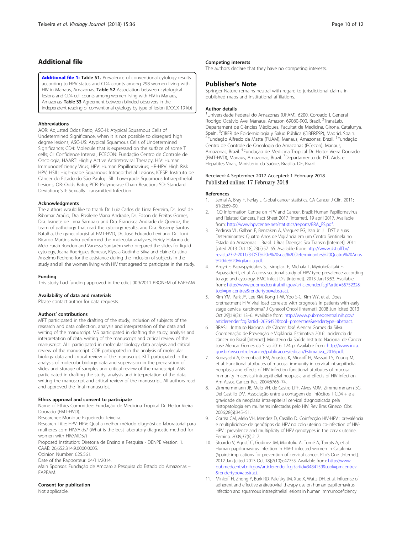# <span id="page-9-0"></span>Additional file

[Additional file 1:](https://doi.org/10.1186/s12985-018-0942-6) Table S1. Prevalence of conventional cytology results according to HPV status and CD4 counts among 298 women living with HIV in Manaus, Amazonas. Table S2 Association between cytological lesions and CD4 cell counts among women living with HIV in Manaus, Amazonas. Table S3 Agreement between blinded observers in the independent reading of conventional cytology by type of lesion (DOCX 19 kb)

#### Abbreviations

AOR: Adjusted Odds Ratio; ASC-H: Atypical Squamous Cells of Undetermined Significance, when it is not possible to disregard high degree lesions; ASC-US: Atypical Squamous Cells of Undetermined Significance; CD4: Molecule that is expressed on the surface of some T cells; CI: Confidence Interval; FCECON: Fundação Centro de Controle de Oncologia; HAART: Highly Active Antiretroviral Therapy; HIV: Human Immunodeficiency Virus; HPV: Human Papillomavirus; HR-HPV: High Risk HPV; HSIL: High-grade Squamous Intraepithelial Lesions; ICESP: Instituto de Câncer do Estado do São Paulo; LSIL: Low-grade Squamous Intraepithelial Lesions; OR: Odds Ratio; PCR: Polymerase Chain Reaction; SD: Standard Deviation; STI: Sexually Transmitted Infection

#### Acknowledgments

The authors would like to thank Dr. Luiz Carlos de Lima Ferreira, Dr. José de Ribamar Araújo, Dra. Rosilene Viana Andrade, Dr. Edson de Freitas Gomes, Dra. Ivanete de Lima Sampaio and Dra. Francisca Andrade de Queiroz, the team of pathology that read the cytology results, and Dra. Rosieny Santos Batalha, the gynecologist at FMT-HVD, Dr. José Eduardo Levi and Dr. Toni Ricardo Martins who performed the molecular analyzes, Heidy Halanna de Melo Farah Rondon and Vanessa Santarém who prepared the slides for liquid cytology, Jeana Rodrigues Benezar, Klyssia Godinho Silva and Elaine Cristina Anselmo Pedreno for the assistance during the inclusion of subjects in the study and all the women living with HIV that agreed to participate in the study.

#### Funding

This study had funding approved in the edict 009/2011 PRONEM of FAPEAM.

#### Availability of data and materials

Please contact author for data requests.

#### Authors' contributions

MFT participated in the drafting of the study, inclusion of subjects of the research and data collection, analysis and interpretation of the data and writing of the manuscript. MS participated in drafting the study, analysis and interpretation of data, writing of the manuscript and critical review of the manuscript. ALL participated in molecular biology data analysis and critical review of the manuscript. COF participated in the analysis of molecular biology data and critical review of the manuscript. KLT participated in the analysis of molecular biology data and supervision in the preparation of slides and storage of samples and critical review of the manuscript. ASB participated in drafting the study, analysis and interpretation of the data, writing the manuscript and critical review of the manuscript. All authors read and approved the final manuscript.

#### Ethics approval and consent to participate

Name of Ethics Committee: Fundação de Medicina Tropical Dr. Heitor Vieira Dourado (FMT-HVD).

Researcher: Monique Figueiredo Teixeira.

Research Title: HPV: HPV: Qual a melhor método diagnóstico laboratorial para mulheres com HIV/Aids? (What is the best laboratory diagnostic method for women with HIV/AIDS?)

Proposed Institution: Diretoria de Ensino e Pesquisa - DENPE Version: 1.

CAAE: 26,652,314.9.0000.0005. Opinion Number: 625.561.

Date of the Rapporteur: 04/11/2014.

Main Sponsor: Fundação de Amparo à Pesquisa do Estado do Amazonas – FAPEAM.

#### Consent for publication

Not applicable.

#### Competing interests

The authors declare that they have no competing interests.

# Publisher's Note

Springer Nature remains neutral with regard to jurisdictional claims in published maps and institutional affiliations.

#### Author details

<sup>1</sup>Universidade Federal do Amazonas (UFAM), 6200, Coroado I, General Rodrigo Octávio Ave, Manaus, Amazon 69080-900, Brazil. <sup>2</sup>TransLab. Departament de Ciències Mèdiques, Facultat de Medicina, Girona, Catalunya, Spain. <sup>3</sup>CIBER de Epidemiología y Salud Pública (CIBERESP), Madrid, Spain.<br><sup>4</sup>Eundacão Alfredo da Matta (ELIAM), Manaus, Amazonas, Brazil, <sup>5</sup>Eundacã Fundação Alfredo da Matta (FUAM), Manaus, Amazonas, Brazil. <sup>5</sup>Fundação Centro de Controle de Oncologia do Amazonas (FCecon), Manaus, Amazonas, Brazil. <sup>6</sup>Fundação de Medicina Tropical Dr. Heitor Vieira Dourado (FMT-HVD), Manaus, Amazonas, Brazil. <sup>7</sup>Departamento de IST, Aids, e Hepatites Virais, Ministério da Saúde, Brasília, DF, Brazil.

### Received: 4 September 2017 Accepted: 1 February 2018 Published online: 17 February 2018

#### References

- 1. Jemal A, Bray F, Ferlay J. Global cancer statistics. CA Cancer J Clin. 2011; 61(2):69–90.
- 2. ICO Information Centre on HPV and Cancer. Brazil: Human Papillomavirus and Related Cancers, Fact Sheet 2017 [Internet]. 19 april 2017. Available from: [http://www.hpvcentre.net/statistics/reports/BRA\\_FS.pdf](http://www.hpvcentre.net/statistics/reports/BRA_FS.pdf).
- 3. Pedrosa VL, Galban E, Benzaken A, Vasquez FG, Izan Jr. JL. DST e suas Determinantes: Quatro Anos de Vigilância em um Centro Sentinela no Estado do Amazonas – Brasil. J Bras Doenças Sex Transm [Internet]. 2011 [cited 2013 Oct 18];23(2):57–65. Available from: [http://www.dst.uff.br/](http://www.dst.uff.br/revista23-2-2011/3-DST%20e%20suas%20Determinantes%20Quatro%20Anos%20de%20Vigilancia.pdf) [revista23-2-2011/3-DST%20e%20suas%20Determinantes%20Quatro%20Anos](http://www.dst.uff.br/revista23-2-2011/3-DST%20e%20suas%20Determinantes%20Quatro%20Anos%20de%20Vigilancia.pdf) [%20de%20Vigilancia.pdf](http://www.dst.uff.br/revista23-2-2011/3-DST%20e%20suas%20Determinantes%20Quatro%20Anos%20de%20Vigilancia.pdf).
- 4. Argyri E, Papaspyridakos S, Tsimplaki E, Michala L, Myriokefalitaki E, Papassideri I, et al. A cross sectional study of HPV type prevalence according to age and cytology. BMC Infect Dis [Internet]. 2013 Jan;13:53. Available from: [http://www.pubmedcentral.nih.gov/articlerender.fcgi?artid=3575232&](http://www.pubmedcentral.nih.gov/articlerender.fcgi?artid=3575232&tool=pmcentrez&rendertype=abstract) [tool=pmcentrez&rendertype=abstract](http://www.pubmedcentral.nih.gov/articlerender.fcgi?artid=3575232&tool=pmcentrez&rendertype=abstract).
- 5. Kim YM, Park JY, Lee KM, Kong T-W, Yoo S-C, Kim WY, et al. Does pretreatment HPV viral load correlate with prognosis in patients with early stage cervical carcinoma? J Gynecol Oncol [Internet]. 2008 Jun [cited 2013 Oct 29];19(2):113–6. Available from: [http://www.pubmedcentral.nih.gov/](http://www.pubmedcentral.nih.gov/articlerender.fcgi?artid=2676452&tool=pmcentrez&rendertype=abstract) [articlerender.fcgi?artid=2676452&tool=pmcentrez&rendertype=abstract.](http://www.pubmedcentral.nih.gov/articlerender.fcgi?artid=2676452&tool=pmcentrez&rendertype=abstract)
- 6. BRASIL. Instituto Nacional de Câncer José Alencar Gomes da Silva. Coordenação de Prevenção e Vigilância. Estimativa 2016: Incidência de câncer no Brasil [Internet]. Ministério da Saúde Instituto Nacional de Cancer José Alencar Gomes da Silva 2016. 124 p. Available from: [http://www.inca.](http://www.inca.gov.br/bvscontrolecancer/publicacoes/edicao/Estimativa_2016.pdf) [gov.br/bvscontrolecancer/publicacoes/edicao/Estimativa\\_2016.pdf](http://www.inca.gov.br/bvscontrolecancer/publicacoes/edicao/Estimativa_2016.pdf).
- 7. Kobayashi A, Greenblatt RM, Anastos K, Minkoff H, Massad LS, Young M, et al. Functional attributes of mucosal immunity in cervical intraepithelial neoplasia and effects of HIV infection functional attributes of mucosal immunity in cervical intraepithelial neoplasia and effects of HIV infection. Am Assoc Cancer Res. 2004:6766–74.
- 8. Zimmermmann JB, Melo VH, de Castro LPF, Alves MJM, Zimmermmann SG, Del Castillo DM. Associação entre a contagem de linfócitos T CD4 + e a gravidade da neoplasia intra-epitelial cervical diagnosticada pela histopatologia em mulheres infectadas pelo HIV. Rev Bras Ginecol Obs. 2006;28(6):345–51.
- 9. Corrêa CM, Melo VH, Mendez D, Castillo D. Coinfecção HIV-HPV : prevalência e multiplicidade de genótipos do HPV no colo uterino co-infection of HIV-HPV : prevalence and multiplicity of HPV genotypes in the cervix uterine. Femina. 2009;37(6):2–7.
- 10. Stuardo V, Agustí C, Godinez JM, Montoliu A, Torné A, Tarrats A, et al. Human papillomavirus infection in HIV-1 infected women in Catalonia (Spain): implications for prevention of cervical cancer. PLoS One [Internet]. 2012 Jan [cited 2013 Oct 18];7(10):e47755. Available from: [http://www.](http://www.pubmedcentral.nih.gov/articlerender.fcgi?artid=3484159&tool=pmcentrez&rendertype=abstract) [pubmedcentral.nih.gov/articlerender.fcgi?artid=3484159&tool=pmcentrez](http://www.pubmedcentral.nih.gov/articlerender.fcgi?artid=3484159&tool=pmcentrez&rendertype=abstract) [&rendertype=abstract](http://www.pubmedcentral.nih.gov/articlerender.fcgi?artid=3484159&tool=pmcentrez&rendertype=abstract).
- 11. Minkoff H, Zhong Y, Burk RD, Palefsky JM, Xue X, Watts DH, et al. Influence of adherent and effective antiretroviral therapy use on human papillomavirus infection and squamous intraepithelial lesions in human immunodeficiency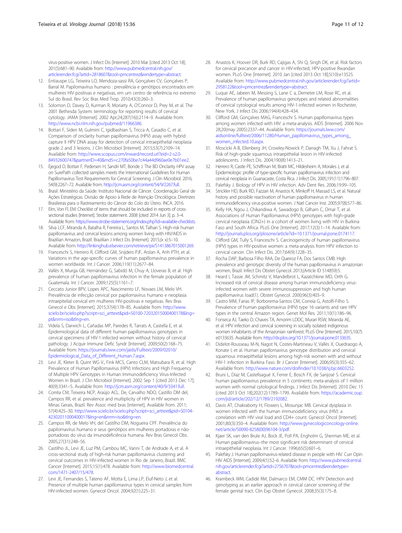<span id="page-10-0"></span>virus-positive women. J Infect Dis [Internet]. 2010 Mar [cited 2013 Oct 18]; 201(5):681–90. Available from: [http://www.pubmedcentral.nih.gov/](http://www.pubmedcentral.nih.gov/articlerender.fcgi?artid=2818607&tool=pmcentrez&rendertype=abstract) [articlerender.fcgi?artid=2818607&tool=pmcentrez&rendertype=abstract.](http://www.pubmedcentral.nih.gov/articlerender.fcgi?artid=2818607&tool=pmcentrez&rendertype=abstract)

- 12. Entiauspe LG, Teixeira LO, Mendoza-sassi RA, Gonçalves CV, Gonçalves P, Barral M. Papilomavírus humano : prevalência e genótipos encontrados em mulheres HIV positivas e negativas, em um centro de referência no extremo Sul do Brasil. Rev Soc Bras Med Trop. 2010;43(3):260–3.
- 13. Solomon D, Davey D, Kurman R, Moriarty A, O'Connor D, Prey M, et al. The 2001 Bethesda System: terminology for reporting results of cervical cytology. JAMA [Internet]. 2002 Apr;24;287(16)):2114–9. Available from: [http://www.ncbi.nlm.nih.gov/pubmed/11966386.](http://www.ncbi.nlm.nih.gov/pubmed/11966386)
- 14. Bottari F, Sideri M, Gulmini C, Igidbashian S, Tricca A, Casadio C, et al. Comparison of onclarity human papillomavirus (HPV) assay with hybrid capture II HPV DNA assay for detection of cervical intraepithelial neoplasia grade 2 and 3 lesions. J Clin Microbiol [Internet]. 2015;53(7):2109–14. Available from: [http://www.scopus.com/inward/record.url?eid=2-s2.0-](http://www.scopus.com/inward/record.url?eid=2-s2.0-84932600747&partnerID=40&md5=c270fa50be7c44a44d960ae0e7b01ee2) [84932600747&partnerID=40&md5=c270fa50be7c44a44d960ae0e7b01ee2.](http://www.scopus.com/inward/record.url?eid=2-s2.0-84932600747&partnerID=40&md5=c270fa50be7c44a44d960ae0e7b01ee2)
- 15. Ejegod D, Bottari F, Pedersen H, Sandri MT, Bonde J. The BD Onclarity HPV assay on SurePath collected samples meets the International Guidelines for Human Papillomavirus Test Requirements for Cervical Screening. J Clin Microbiol. 2016; 54(9):2267–72. Available from: <http://jcm.asm.org/content/54/9/2267.full>.
- 16. Brasil. Ministério da Saúde. Instituto Nacional de Câncer. Coordenação Geral de Ações Estratégicas. Divisão de Apoio à Rede de Atenção Oncológica. Diretrizes Brasileiras para o Rastreamento do Câncer do Colo do Útero. INCA. 2016.
- 17. Elm, Von Fl. EM. Checklist of items that should be included in reports of crosssectional studies [Internet]. Strobe statement. 2008 [cited 2014 Jun 3]. p. 3-4. Available from: [https://www.strobe-statement.org/index.php?id=available-checklists.](https://www.strobe-statement.org/index.php?id=available-checklists)
- 18. Silva LCF, Miranda A, Batalha R, Ferreira L, Santos M, Talhari S. High-risk human papillomavirus and cervical lesions among women living with HIV/AIDS in Brazilian Amazon, Brazil. Brazilian J Infect Dis [Internet]. 2015;(x x):5–10. Available from: [http://linkinghub.elsevier.com/retrieve/pii/S1413867015001269.](http://linkinghub.elsevier.com/retrieve/pii/S1413867015001269)
- 19. Franceschi S, Herrero R, Clifford GM, Snijders PJF, Arslan A, Anh PTH, et al. Variations in the age-specific curves of human papillomavirus prevalence in women worldwide. Int J Cancer. 2006;119(11):2677–84.
- 20. Vallès X, Murga GB, Hernández G, Sabidó M, Chuy A, Lloveras B, et al. High prevalence of human papillomavirus infection in the female population of Guatemala. Int J Cancer. 2009;125(5):1161–7.
- 21. Ceccato Junior BPV, Lopes APC, Nascimento LF, Novaes LM, Melo VH. Prevalência de infecção cervical por papilomavírus humano e neoplasia intraepitelial cervical em mulheres HIV-positivas e negativas. Rev Bras Ginecol e Obs [Internet]. 2015;37(4):178–85. Available from: [http://www.](http://www.scielo.br/scielo.php?script=sci_arttext&pid=S0100-72032015000400178&lng=pt&nrm=iso&tlng=en) [scielo.br/scielo.php?script=sci\\_arttext&pid=S0100-72032015000400178&lng=](http://www.scielo.br/scielo.php?script=sci_arttext&pid=S0100-72032015000400178&lng=pt&nrm=iso&tlng=en) [pt&nrm=iso&tlng=en.](http://www.scielo.br/scielo.php?script=sci_arttext&pid=S0100-72032015000400178&lng=pt&nrm=iso&tlng=en)
- 22. Videla S, Darwich L, Cañadas MP, Paredes R, Tarrats A, Castella E, et al. Epidemiological data of different human papillomavirus genotypes in cervical specimens of HIV-1-infected women without history of cervical pathology. J Acquir Immune Defic Syndr [Internet]. 2009;50(2):168–75. Available from: [https://journals.lww.com/jaids/Fulltext/2009/02010/](https://journals.lww.com/jaids/Fulltext/2009/02010/Epidemiological_Data_of_Different_Human.7.aspx) [Epidemiological\\_Data\\_of\\_Different\\_Human.7.aspx](https://journals.lww.com/jaids/Fulltext/2009/02010/Epidemiological_Data_of_Different_Human.7.aspx).
- 23. Levi JE, Kleter B, Quint WG V., Fink MCS, Canto CLM, Matsubara R, et al. High Prevalence of Human Papillomavirus (HPV) Infections and High Frequency of Multiple HPV Genotypes in Human Immunodeficiency Virus-Infected Women in Brazil. J Clin Microbiol [Internet]. 2002 Sep 1 [cited 2013 Dec 17]; 40(9):3341–5. Available from: [http://jcm.asm.org/content/40/9/3341.full.](http://jcm.asm.org/content/40/9/3341.full)
- 24. Corrêa CM, Teixeira NCP, Araújo ACL. De, Carvalho NDO, Castillo DM del, Campos RR, et al. prevalence and multiplicity of HPV in HIV women in Minas Gerais, Brazil. Rev Assoc med bras [internet], Available from. 2011; 57(4):425–30. [http://www.scielo.br/scielo.php?script=sci\\_arttext&pid=S0104-](http://www.scielo.br/scielo.php?script=sci_arttext&pid=S0104-42302011000400017&lng=en&nrm=iso&tlng=en) [42302011000400017&lng=en&nrm=iso&tlng=en.](http://www.scielo.br/scielo.php?script=sci_arttext&pid=S0104-42302011000400017&lng=en&nrm=iso&tlng=en)
- 25. Campos RR, de Melo VH, del Castilho DM, Nogueira CPF. Prevalência do papilomavírus humano e seus genótipos em mulheres portadoras e nãoportadoras do vírus da imunodeficiência humana. Rev Bras Ginecol Obs. 2005;27(31):248–56.
- 26. Castilho JL, Levi JE, Luz PM, Cambou MC, Vanni T, de Andrade A, et al. A cross-sectional study of high-risk human papillomavirus clustering and cervical outcomes in HIV-infected women in Rio de Janeiro, Brazil. BMC Cancer [Internet]. 2015;15(1):478. Available from: [http://www.biomedcentral.](http://www.biomedcentral.com/1471-2407/15/478) [com/1471-2407/15/478](http://www.biomedcentral.com/1471-2407/15/478).
- 27. Levi JE, Fernandes S, Tateno AF, Motta E, Lima LP, Eluf-Neto J, et al. Presence of multiple human papillomavirus types in cervical samples from HIV-infected women. Gynecol Oncol. 2004;92(1):225–31.
- 28. Anastos K, Hoover DR, Burk RD, Cajigas A, Shi Q, Singh DK, et al. Risk factors for cervical precancer and cancer in HIV-infected, HPV-positive Rwandan women. PLoS One [Internet]. 2010 Jan [cited 2013 Oct 18];5(10):e13525. Available from: [http://www.pubmedcentral.nih.gov/articlerender.fcgi?artid=](http://www.pubmedcentral.nih.gov/articlerender.fcgi?artid=2958122&tool=pmcentrez&rendertype=abstract) [2958122&tool=pmcentrez&rendertype=abstract](http://www.pubmedcentral.nih.gov/articlerender.fcgi?artid=2958122&tool=pmcentrez&rendertype=abstract).
- 29. Luque AE, Jabeen M, Messing S, Lane C a, Demeter LM, Rose RC, et al. Prevalence of human papillomavirus genotypes and related abnormalities of cervical cytological results among HIV-1-infected women in Rochester, New York. J Infect Dis 2006;194(4):428–434.
- 30. Clifford GM, Gonçalves MAG, Franceschi S. Human papillomavirus types among women infected with HIV: a meta-analysis. AIDS [Internet]. 2006 Nov 28;20(may 2005):2337–44. Available from: [https://journals.lww.com/](https://journals.lww.com/aidsonline/fulltext/2006/11280/Human_papillomavirus_types_among_women_infected.10.aspx) [aidsonline/fulltext/2006/11280/Human\\_papillomavirus\\_types\\_among\\_](https://journals.lww.com/aidsonline/fulltext/2006/11280/Human_papillomavirus_types_among_women_infected.10.aspx) [women\\_infected.10.aspx](https://journals.lww.com/aidsonline/fulltext/2006/11280/Human_papillomavirus_types_among_women_infected.10.aspx).
- 31. Moscicki A-B, Ellenberg JH, Crowley-Nowick P, Darragh TM, Xu J, Fahrat S. Risk of high-grade squamous intraepithelial lesion in HIV-infected adolescents. J Infect Dis. 2004;190(8):1413–21.
- 32. Herrero R, Castle PE, Schiffman M, Bratti MC, Hildesheim A, Morales J, et al. Epidemiologic profile of type-specific human papillomavirus infection and cervical neoplasia in Guanacaste, Costa Rica. J Infect Dis. 2005;191(11):1796–807.
- 33. Palefsky J. Biology of HPV in HIV infection. Adv Dent Res. 2006;19:99–105.
- 34. Strickler HD, Burk RD, Fazzari M, Anastos K, Minkoff H, Massad LS, et al. Natural history and possible reactivation of human papillomavirus in human immunodeficiency virus-positive women. J Natl Cancer Inst. 2005;97(8):577–86.
- 35. Kelly HA, Ngou J, Chikandiwa A, Sawadogo B, Gilham C, Omar T, et al. Associations of Human Papillomavirus (HPV) genotypes with high-grade cervical neoplasia (CIN2+) in a cohort of women living with HIV in Burkina Faso and South Africa. PLoS One [Internet]. 2017;12(3):1–14. Available from: <http://journals.plos.org/plosone/article?id=10.1371/journal.pone.0174117>.
- 36. Clifford GM, Tully S, Franceschi S. Carcinogenicity of human papillomavirus (HPV) types in HIV-positive women: a meta-analysis from HPV infection to cervical cancer. Clin Infect Dis. 2017;64(9):1228–35.
- 37. Rocha DAP, Barbosa Filho RAA, De Queiroz FA, Dos Santos CMB. High prevalence and genotypic diversity of the human papillomavirus in amazonian women, Brazil. Infect Dis Obstet Gynecol. 2013;(Article ID 514859):5.
- 38. Heard I, Tassie JM, Schmitz V, Mandelbrot L, Kazatchkine MD, Orth G. Increased risk of cervical disease among human immunodeficiency virusinfected women with severe immunosuppression and high human papillomavirus load(1). Obstet Gynecol. 2000;96(3):403–9.
- Castro MM, Farias IP, Borborema-Santos CM, Correia G, Astolfi-Filho S. Prevalence of human papillomavirus (HPV) type 16 variants and rare HPV types in the central Amazon region. Genet Mol Res. 2011;10(1):186–96.
- 40. Fonseca AJ, Taeko D, Chaves TA, Amorim LDDC, Murari RSW, Miranda AE, et al. HPV infection and cervical screening in socially isolated indigenous women inhabitants of the Amazonian rainforest. PLoS One [Internet]. 2015;10(7): e0133635. Available from: [http://dx.plos.org/10.1371/journal.pone.0133635.](http://dx.plos.org/10.1371/journal.pone.0133635)
- 41. Didelot-Rousseau M-N, Nagot N, Costes-Martineau V, Vallès X, Ouedraogo A, Konate I, et al. Human papillomavirus genotype distribution and cervical squamous intraepithelial lesions among high-risk women with and without HIV-1 infection in Burkina Faso. Br J Cancer [Internet]. 2006;95(3):355–62. Available from: <http://www.nature.com/doifinder/10.1038/sj.bjc.6603252>.
- 42. Bruni L, Diaz M, Castellsagué X, Ferrer E, Bosch FX, de Sanjosé S. Cervical human papillomavirus prevalence in 5 continents: meta-analysis of 1 million women with normal cytological findings. J Infect Dis [Internet]. 2010 Dec 15 [cited 2013 Oct 18];202(12):1789–1799. Available from: [https://academic.oup.](https://academic.oup.com/jid/article/202/12/1789/2192082) [com/jid/article/202/12/1789/2192082](https://academic.oup.com/jid/article/202/12/1789/2192082).
- 43. Davis AT, Chakraborty H, Flowers L, Mosunjac MB. Cervical dysplasia in women infected with the human immunodeficiency virus (HIV): a correlation with HIV viral load and CD4+ count. Gynecol Oncol [Internet]. 2001;80(3):350–4. Available from: [http://www.gynecologiconcology-online.](http://www.gynecologiconcology-online.net/article/S0090-8258(00)96104-3/pdf) [net/article/S0090-8258\(00\)96104-3/pdf.](http://www.gynecologiconcology-online.net/article/S0090-8258(00)96104-3/pdf)
- 44. Kjaer SK, van den Brule AJ, Bock JE, Poll PA, Engholm G, Sherman ME, et al. Human papillomavirus–the most significant risk determinant of cervical intraepithelial neoplasia. Int J Cancer. 1996;65(5):601–6.
- 45. Palefsky J. Human papillomavirus-related disease in people with HIV. Curr Opin HIV AIDS [Internet]. 2009;4(1):52–6. Available from: [http://www.pubmedcentral.](http://www.pubmedcentral.nih.gov/articlerender.fcgi?artid=2756707&tool=pmcentrez&rendertype=abstract) [nih.gov/articlerender.fcgi?artid=2756707&tool=pmcentrez&rendertype=](http://www.pubmedcentral.nih.gov/articlerender.fcgi?artid=2756707&tool=pmcentrez&rendertype=abstract) [abstract](http://www.pubmedcentral.nih.gov/articlerender.fcgi?artid=2756707&tool=pmcentrez&rendertype=abstract).
- 46. Krambeck WM, Cadidé RM, Dalmarco EM, CMM DC. HPV Detection and genotyping as an earlier approach in cervical cancer screening of the female genital tract. Clin Exp Obstet Gynecol. 2008;35(3):175–8.